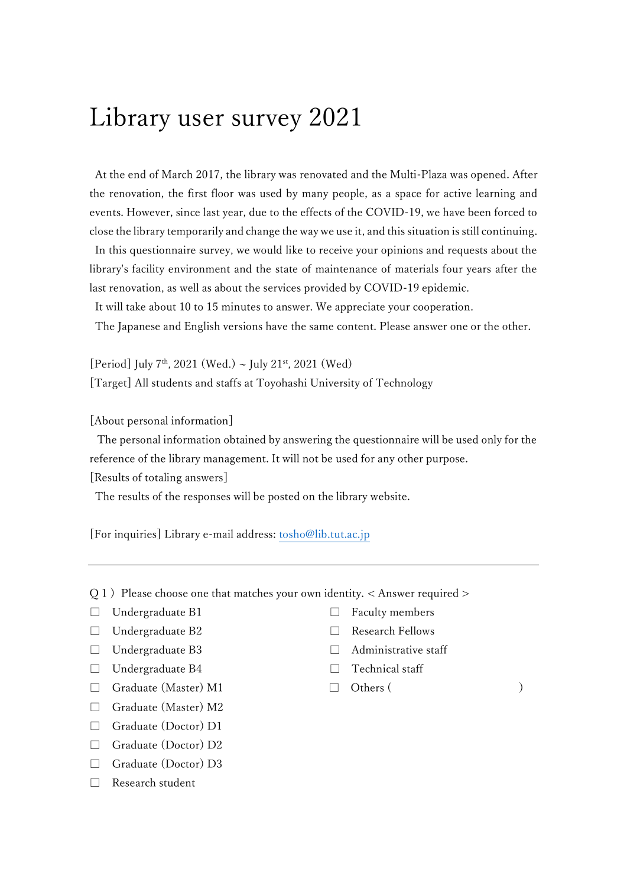## Library user survey 2021

At the end of March 2017, the library was renovated and the Multi-Plaza was opened. After the renovation, the first floor was used by many people, as a space for active learning and events. However, since last year, due to the effects of the COVID-19, we have been forced to close the library temporarily and change the way we use it, and this situation is still continuing. In this questionnaire survey, we would like to receive your opinions and requests about the library's facility environment and the state of maintenance of materials four years after the last renovation, as well as about the services provided by COVID-19 epidemic.

It will take about 10 to 15 minutes to answer. We appreciate your cooperation.

The Japanese and English versions have the same content. Please answer one or the other.

[Period] July 7<sup>th</sup>, 2021 (Wed.) ~ July 21<sup>st</sup>, 2021 (Wed) [Target] All students and staffs at Toyohashi University of Technology

[About personal information]

The personal information obtained by answering the questionnaire will be used only for the reference of the library management. It will not be used for any other purpose.

[Results of totaling answers]

The results of the responses will be posted on the library website.

[For inquiries] Library e-mail address: [tosho@lib.tut.ac.jp](mailto:tosho@lib.tut.ac.jp)

 $Q1$ ) Please choose one that matches your own identity. < Answer required >

- 
- □ Undergraduate B2 □ Research Fellows
- □ Undergraduate B3 □ Administrative staff
- □ Undergraduate B4 □ Technical staff
- $\Box$  Graduate (Master) M1  $\Box$  Others ( )
- □ Graduate (Master) M2
- □ Graduate (Doctor) D1
- □ Graduate (Doctor) D2
- □ Graduate (Doctor) D3
- □ Research student
- □ Undergraduate B1 □ Faculty members
	-
	-
	-
	-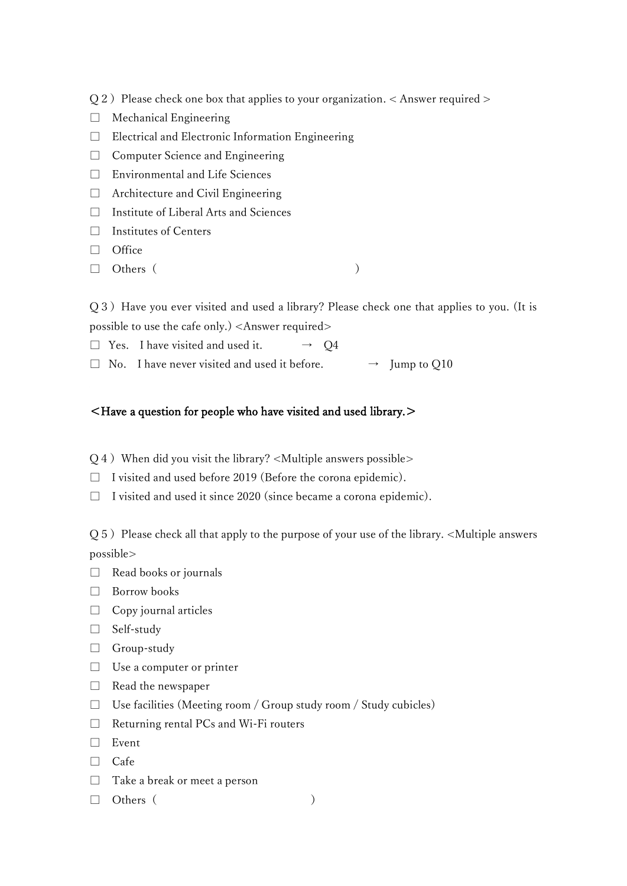- $Q2$ ) Please check one box that applies to your organization. < Answer required >
- □ Mechanical Engineering
- $\Box$  Electrical and Electronic Information Engineering
- □ Computer Science and Engineering
- □ Environmental and Life Sciences
- $\Box$  Architecture and Civil Engineering
- □ Institute of Liberal Arts and Sciences
- $\Box$  Institutes of Centers
- □ Office
- $\Box$  Others (

Q3) Have you ever visited and used a library? Please check one that applies to you. (It is possible to use the cafe only.) <Answer required>

- $\Box$  Yes. I have visited and used it.  $\rightarrow$  Q4
- $\square$  No. I have never visited and used it before.  $\rightarrow$  Jump to Q10

#### <Have a question for people who have visited and used library.>

- $Q_4$ ) When did you visit the library? <Multiple answers possible>
- □ I visited and used before 2019 (Before the corona epidemic).
- $\Box$  I visited and used it since 2020 (since became a corona epidemic).

 $Q5$ ) Please check all that apply to the purpose of your use of the library. <Multiple answers possible>

- $\Box$  Read books or journals
- □ Borrow books
- $\Box$  Copy journal articles
- □ Self-study
- □ Group-study
- $\Box$  Use a computer or printer
- □ Read the newspaper
- □ Use facilities (Meeting room / Group study room / Study cubicles)
- □ Returning rental PCs and Wi-Fi routers
- □ Event
- □ Cafe
- □ Take a break or meet a person
- $\Box$  Others ( )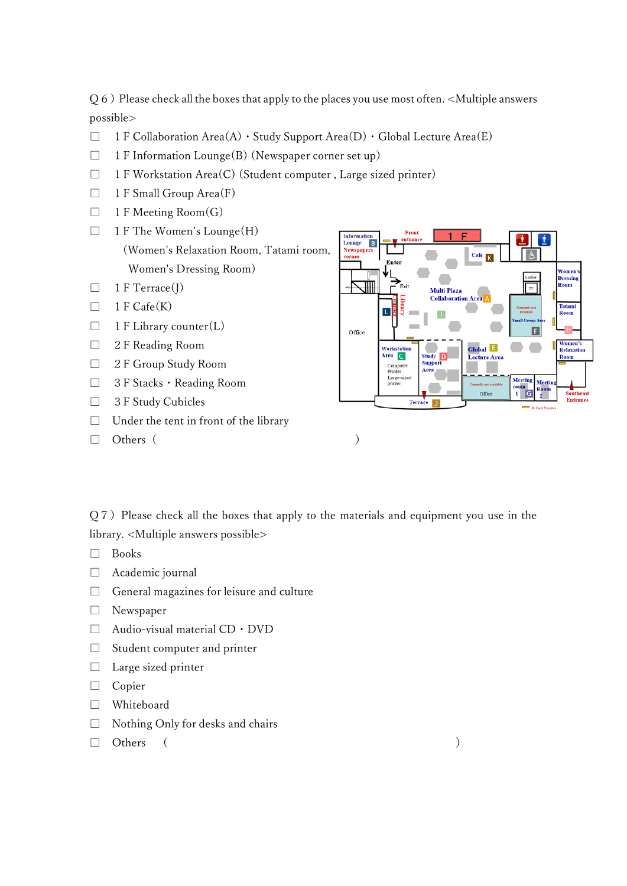$Q_6$ ) Please check all the boxes that apply to the places you use most often. <Multiple answers possible>

- $\Box$  1 F Collaboration Area(A)  $\cdot$  Study Support Area(D)  $\cdot$  Global Lecture Area(E)
- $\Box$  1 F Information Lounge(B) (Newspaper corner set up)
- $\Box$  1 F Workstation Area(C) (Student computer, Large sized printer)
- $\Box$  1 F Small Group Area(F)
- $\Box$  1 F Meeting Room(G)
- $\Box$  1 F The Women's Lounge(H) (Women's Relaxation Room, Tatami room, Women's Dressing Room)
- $\Box$  1 F Terrace(J)
- $\Box$  1 F Cafe(K)
- $\Box$  1 F Library counter(L)
- □ 2 F Reading Room
- □ 2 F Group Study Room
- □ 3F Stacks・Reading Room
- □ 3 F Study Cubicles
- $\Box$  Under the tent in front of the library
- $\Box$  Others ( )



 $Q7$ ) Please check all the boxes that apply to the materials and equipment you use in the library. <Multiple answers possible>

- □ Books
- □ Academic journal
- □ General magazines for leisure and culture
- □ Newspaper
- □ Audio-visual material CD・DVD
- $\Box$  Student computer and printer
- □ Large sized printer
- □ Copier
- □ Whiteboard
- $\Box$  Nothing Only for desks and chairs
- $\Box$  Others (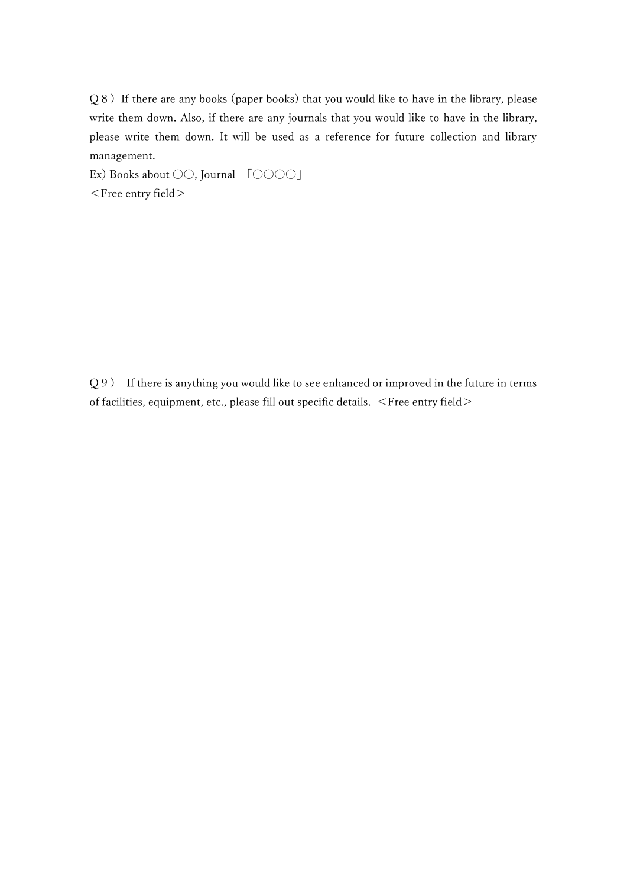Q8) If there are any books (paper books) that you would like to have in the library, please write them down. Also, if there are any journals that you would like to have in the library, please write them down. It will be used as a reference for future collection and library management.

Ex) Books about ○○, Journal 「〇〇〇〇」 <Free entry field>

Q9) If there is anything you would like to see enhanced or improved in the future in terms of facilities, equipment, etc., please fill out specific details. <Free entry field>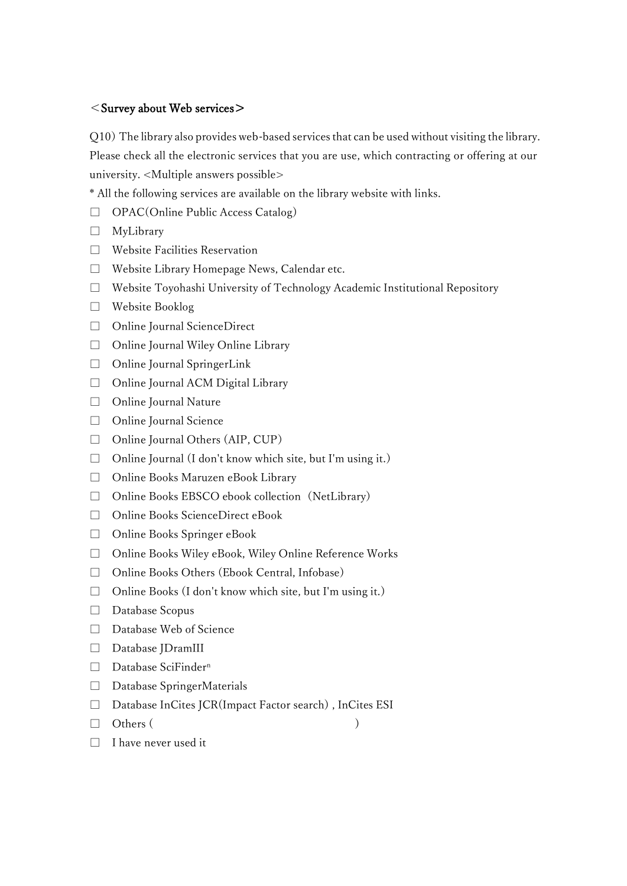## $<$ Survey about Web services $>$

Q10)The library also provides web-based services that can be used without visiting the library. Please check all the electronic services that you are use, which contracting or offering at our university. <Multiple answers possible>

\* All the following services are available on the library website with links.

- □ OPAC(Online Public Access Catalog)
- □ MyLibrary
- □ Website Facilities Reservation
- □ Website Library Homepage News, Calendar etc.
- $\Box$  Website Toyohashi University of Technology Academic Institutional Repository
- □ Website Booklog
- □ Online Journal ScienceDirect
- □ Online Journal Wiley Online Library
- □ Online Journal SpringerLink
- □ Online Journal ACM Digital Library
- □ Online Journal Nature
- □ Online Journal Science
- □ Online Journal Others (AIP, CUP)
- $\Box$  Online Journal (I don't know which site, but I'm using it.)
- □ Online Books Maruzen eBook Library
- □ Online Books EBSCO ebook collection (NetLibrary)
- □ Online Books ScienceDirect eBook
- □ Online Books Springer eBook
- □ Online Books Wiley eBook, Wiley Online Reference Works
- □ Online Books Others (Ebook Central, Infobase)
- $\Box$  Online Books (I don't know which site, but I'm using it.)
- □ Database Scopus
- □ Database Web of Science
- □ Database JDramIII
- □ Database SciFinder<sup>n</sup>
- □ Database SpringerMaterials
- □ Database InCites JCR(Impact Factor search), InCites ESI
- $\Box$  Others (
	-

□ I have never used it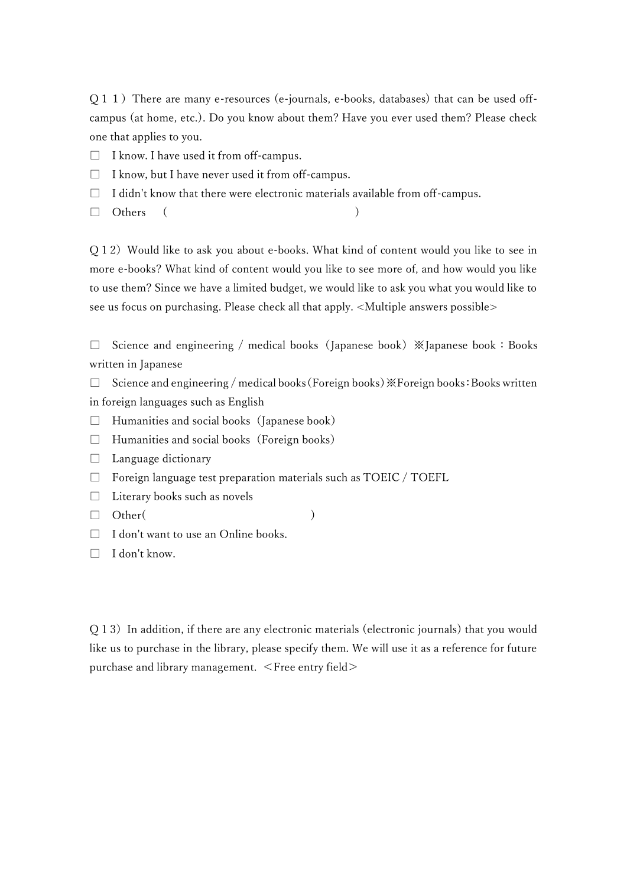Q11)There are many e-resources (e-journals, e-books, databases) that can be used offcampus (at home, etc.). Do you know about them? Have you ever used them? Please check one that applies to you.

- $\Box$  I know. I have used it from off-campus.
- $\Box$  I know, but I have never used it from off-campus.
- $\Box$  I didn't know that there were electronic materials available from off-campus.
- $\Box$  Others (

Q12)Would like to ask you about e-books. What kind of content would you like to see in more e-books? What kind of content would you like to see more of, and how would you like to use them? Since we have a limited budget, we would like to ask you what you would like to see us focus on purchasing. Please check all that apply. <Multiple answers possible>

□ Science and engineering / medical books (Japanese book) ※Japanese book: Books written in Japanese

 $\Box$  Science and engineering / medical books (Foreign books) ※Foreign books: Books written in foreign languages such as English

- $\Box$  Humanities and social books (Japanese book)
- $\Box$  Humanities and social books (Foreign books)
- □ Language dictionary
- $\Box$  Foreign language test preparation materials such as TOEIC / TOEFL
- □ Literary books such as novels
- $\Box$  Other( )

- □ I don't want to use an Online books.
- □ I don't know.

Q 13) In addition, if there are any electronic materials (electronic journals) that you would like us to purchase in the library, please specify them. We will use it as a reference for future purchase and library management. <Free entry field>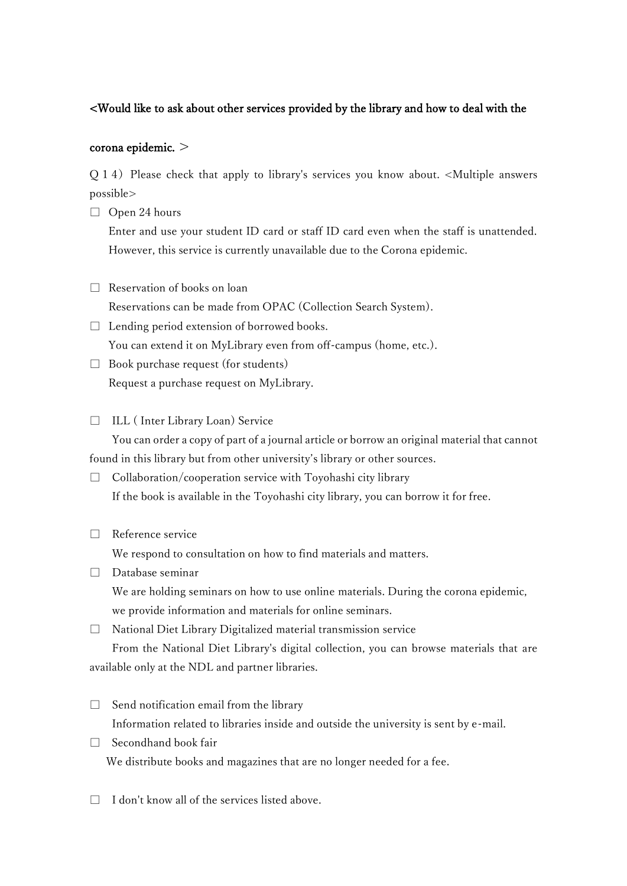## <Would like to ask about other services provided by the library and how to deal with the

## corona epidemic. >

Q14)Please check that apply to library's services you know about. <Multiple answers possible>

 $\Box$  Open 24 hours

Enter and use your student ID card or staff ID card even when the staff is unattended. However, this service is currently unavailable due to the Corona epidemic.

- $\Box$  Reservation of books on loan Reservations can be made from OPAC (Collection Search System).
- $\Box$  Lending period extension of borrowed books. You can extend it on MyLibrary even from off-campus (home, etc.).
- □ Book purchase request (for students) Request a purchase request on MyLibrary.

## □ ILL (Inter Library Loan) Service

You can order a copy of part of a journal article or borrow an original material that cannot found in this library but from other university's library or other sources.

- $\Box$  Collaboration/cooperation service with Toyohashi city library If the book is available in the Toyohashi city library, you can borrow it for free.
- □ Reference service

We respond to consultation on how to find materials and matters.

- □ Database seminar We are holding seminars on how to use online materials. During the corona epidemic, we provide information and materials for online seminars.
- □ National Diet Library Digitalized material transmission service

From the National Diet Library's digital collection, you can browse materials that are available only at the NDL and partner libraries.

- $\Box$  Send notification email from the library Information related to libraries inside and outside the university is sent by e-mail.
- □ Secondhand book fair We distribute books and magazines that are no longer needed for a fee.
- $\Box$  I don't know all of the services listed above.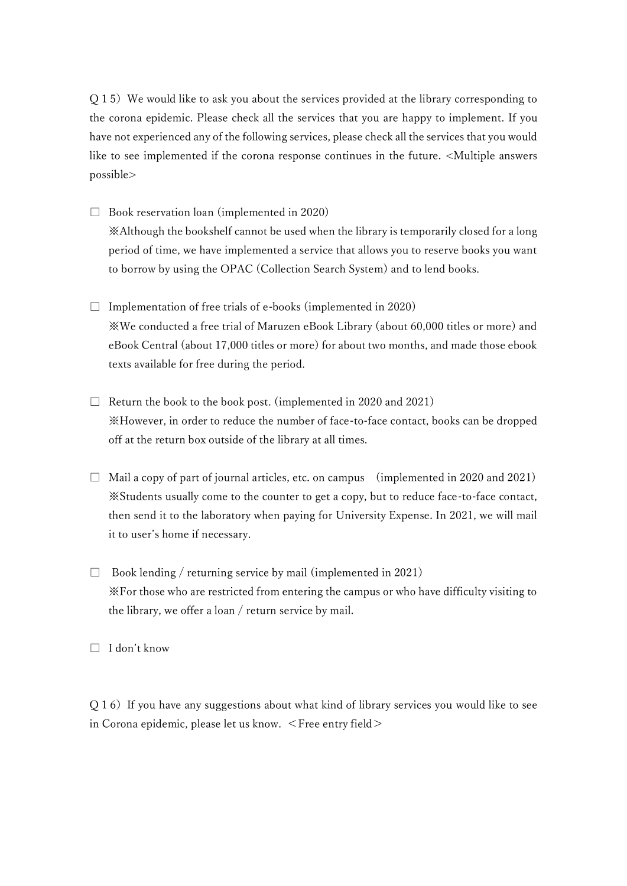$Q15$ ) We would like to ask you about the services provided at the library corresponding to the corona epidemic. Please check all the services that you are happy to implement. If you have not experienced any of the following services, please check all the services that you would like to see implemented if the corona response continues in the future. <Multiple answers possible>

□ Book reservation loan (implemented in 2020)

※Although the bookshelf cannot be used when the library is temporarily closed for a long period of time, we have implemented a service that allows you to reserve books you want to borrow by using the OPAC (Collection Search System) and to lend books.

- $\square$  Implementation of free trials of e-books (implemented in 2020) ※We conducted a free trial of Maruzen eBook Library (about 60,000 titles or more) and eBook Central (about 17,000 titles or more) for about two months, and made those ebook texts available for free during the period.
- $\Box$  Return the book to the book post. (implemented in 2020 and 2021) ※However, in order to reduce the number of face-to-face contact, books can be dropped off at the return box outside of the library at all times.
- $\Box$  Mail a copy of part of journal articles, etc. on campus (implemented in 2020 and 2021) ※Students usually come to the counter to get a copy, but to reduce face-to-face contact, then send it to the laboratory when paying for University Expense. In 2021, we will mail it to user's home if necessary.
- $\Box$  Book lending / returning service by mail (implemented in 2021) ※For those who are restricted from entering the campus or who have difficulty visiting to the library, we offer a loan / return service by mail.

□ I don't know

 $Q16)$  If you have any suggestions about what kind of library services you would like to see in Corona epidemic, please let us know. <Free entry field>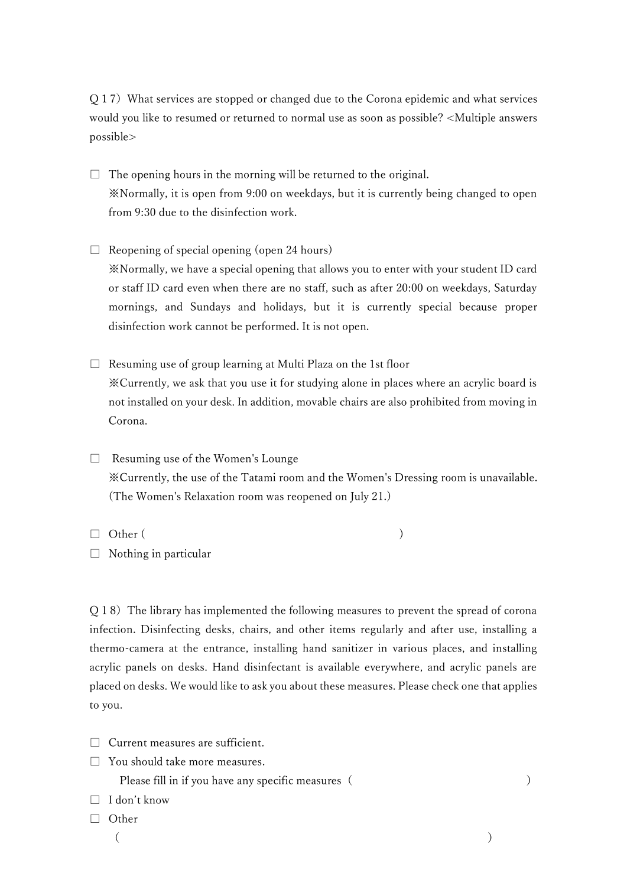Q17)What services are stopped or changed due to the Corona epidemic and what services would you like to resumed or returned to normal use as soon as possible? <Multiple answers possible>

 $\Box$  The opening hours in the morning will be returned to the original. ※Normally, it is open from 9:00 on weekdays, but it is currently being changed to open from 9:30 due to the disinfection work.

 $\Box$  Reopening of special opening (open 24 hours) ※Normally, we have a special opening that allows you to enter with your student ID card or staff ID card even when there are no staff, such as after 20:00 on weekdays, Saturday mornings, and Sundays and holidays, but it is currently special because proper disinfection work cannot be performed. It is not open.

 $\Box$  Resuming use of group learning at Multi Plaza on the 1st floor ※Currently, we ask that you use it for studying alone in places where an acrylic board is not installed on your desk. In addition, movable chairs are also prohibited from moving in Corona.

□ Resuming use of the Women's Lounge ※Currently, the use of the Tatami room and the Women's Dressing room is unavailable. (The Women's Relaxation room was reopened on July 21.)

 $\Box$  Other (

□ Nothing in particular

Q18)The library has implemented the following measures to prevent the spread of corona infection. Disinfecting desks, chairs, and other items regularly and after use, installing a thermo-camera at the entrance, installing hand sanitizer in various places, and installing acrylic panels on desks. Hand disinfectant is available everywhere, and acrylic panels are placed on desks. We would like to ask you about these measures. Please check one that applies to you.

- □ Current measures are sufficient.
- $\Box$  You should take more measures.

Please fill in if you have any specific measures ( )

- □ I don't know
- □ Other
	- $($